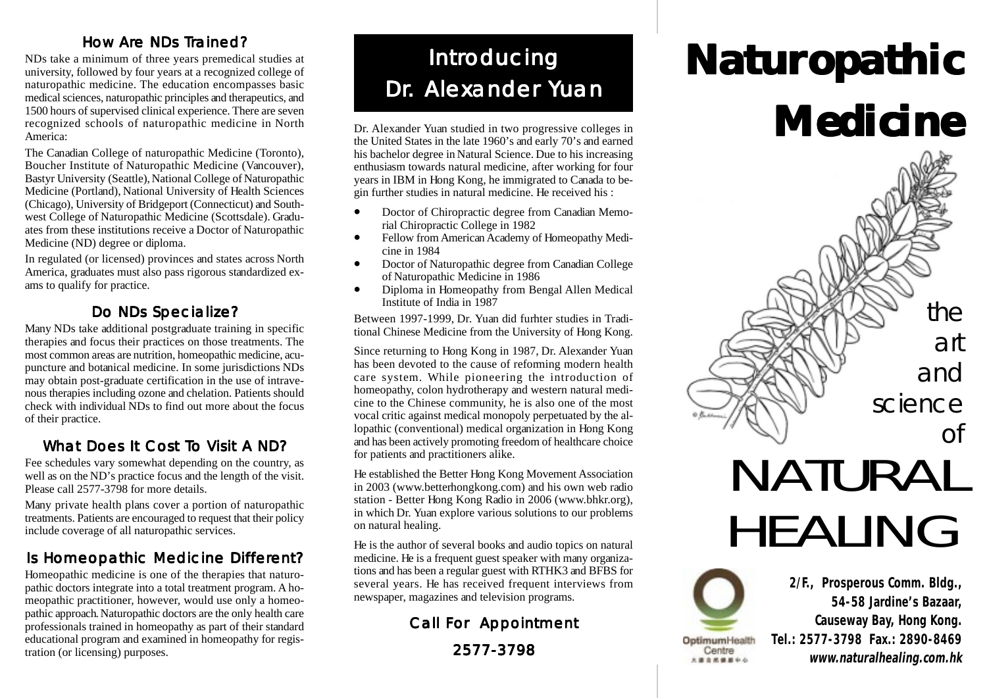### How Are NDs Trained?

NDs take a minimum of three years premedical studies at university, followed by four years at a recognized college of naturopathic medicine. The education encompasses basic medical sciences, naturopathic principles and therapeutics, and 1500 hours of supervised clinical experience. There are seven recognized schools of naturopathic medicine in North America:

The Canadian College of naturopathic Medicine (Toronto), Boucher Institute of Naturopathic Medicine (Vancouver), Bastyr University (Seattle), National College of Naturopathic Medicine (Portland), National University of Health Sciences (Chicago), University of Bridgeport (Connecticut) and Southwest College of Naturopathic Medicine (Scottsdale). Graduates from these institutions receive a Doctor of Naturopathic Medicine (ND) degree or diploma.

In regulated (or licensed) provinces and states across North America, graduates must also pass rigorous standardized exams to qualify for practice.

## Do NDs Specialize?

Many NDs take additional postgraduate training in specific therapies and focus their practices on those treatments. The most common areas are nutrition, homeopathic medicine, acupuncture and botanical medicine. In some jurisdictions NDs may obtain post-graduate certification in the use of intravenous therapies including ozone and chelation. Patients should check with individual NDs to find out more about the focus of their practice.

## What Does It Cost To Visit A ND?

Fee schedules vary somewhat depending on the country, as well as on the ND's practice focus and the length of the visit. Please call 2577-3798 for more details.

Many private health plans cover a portion of naturopathic treatments. Patients are encouraged to request that their policy include coverage of all naturopathic services.

## Is Homeopathic Medicine Different?

Homeopathic medicine is one of the therapies that naturopathic doctors integrate into a total treatment program. A homeopathic practitioner, however, would use only a homeopathic approach. Naturopathic doctors are the only health care professionals trained in homeopathy as part of their standard educational program and examined in homeopathy for registration (or licensing) purposes.

# Introducing Dr. Alexander Yuan

Dr. Alexander Yuan studied in two progressive colleges in the United States in the late 1960's and early 70's and earned his bachelor degree in Natural Science. Due to his increasing enthusiasm towards natural medicine, after working for four years in IBM in Hong Kong, he immigrated to Canada to begin further studies in natural medicine. He received his :

- Doctor of Chiropractic degree from Canadian Memorial Chiropractic College in 1982
- Fellow from American Academy of Homeopathy Medicine in 1984
- Doctor of Naturopathic degree from Canadian College of Naturopathic Medicine in 1986
- Diploma in Homeopathy from Bengal Allen Medical Institute of India in 1987

Between 1997-1999, Dr. Yuan did furhter studies in Traditional Chinese Medicine from the University of Hong Kong.

Since returning to Hong Kong in 1987, Dr. Alexander Yuan has been devoted to the cause of reforming modern health care system. While pioneering the introduction of homeopathy, colon hydrotherapy and western natural medicine to the Chinese community, he is also one of the most vocal critic against medical monopoly perpetuated by the allopathic (conventional) medical organization in Hong Kong and has been actively promoting freedom of healthcare choice for patients and practitioners alike.

He established the Better Hong Kong Movement Association in 2003 (www.betterhongkong.com) and his own web radio station - Better Hong Kong Radio in 2006 (www.bhkr.org), in which Dr. Yuan explore various solutions to our problems on natural healing.

He is the author of several books and audio topics on natural medicine. He is a frequent guest speaker with many organizations and has been a regular guest with RTHK3 and BFBS for several years. He has received frequent interviews from newspaper, magazines and television programs.

## Call For Appointment 2577-3798

# Naturopathic Medicine



# NATURAL HEALING

OptimumHealth Centre 大道自然健康中心

**2/F., Prosperous Comm. Bldg., 54-58 Jardine's Bazaar, Causeway Bay, Hong Kong. Tel.: 2577-3798 Fax.: 2890-8469 www.naturalhealing.com.hk**